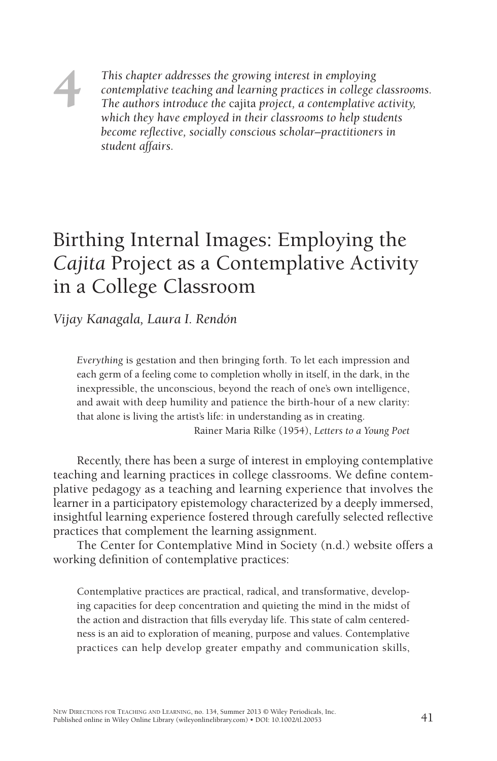*This chapter addresses the growing interest in employing contemplative teaching and learning practices in college classrooms. The authors introduce the* cajita *project, a contemplative activity, which they have employed in their classrooms to help students become reflective, socially conscious scholar–practitioners in student affairs.*

## Birthing Internal Images: Employing the *Cajita* Project as a Contemplative Activity in a College Classroom

*Vijay Kanagala, Laura I. Rendón*

**4**

*Everything* is gestation and then bringing forth. To let each impression and each germ of a feeling come to completion wholly in itself, in the dark, in the inexpressible, the unconscious, beyond the reach of one's own intelligence, and await with deep humility and patience the birth-hour of a new clarity: that alone is living the artist's life: in understanding as in creating.

Rainer Maria Rilke (1954), *Letters to a Young Poet*

Recently, there has been a surge of interest in employing contemplative teaching and learning practices in college classrooms. We define contemplative pedagogy as a teaching and learning experience that involves the learner in a participatory epistemology characterized by a deeply immersed, insightful learning experience fostered through carefully selected reflective practices that complement the learning assignment.

The Center for Contemplative Mind in Society (n.d.) website offers a working definition of contemplative practices:

Contemplative practices are practical, radical, and transformative, developing capacities for deep concentration and quieting the mind in the midst of the action and distraction that fills everyday life. This state of calm centeredness is an aid to exploration of meaning, purpose and values. Contemplative practices can help develop greater empathy and communication skills,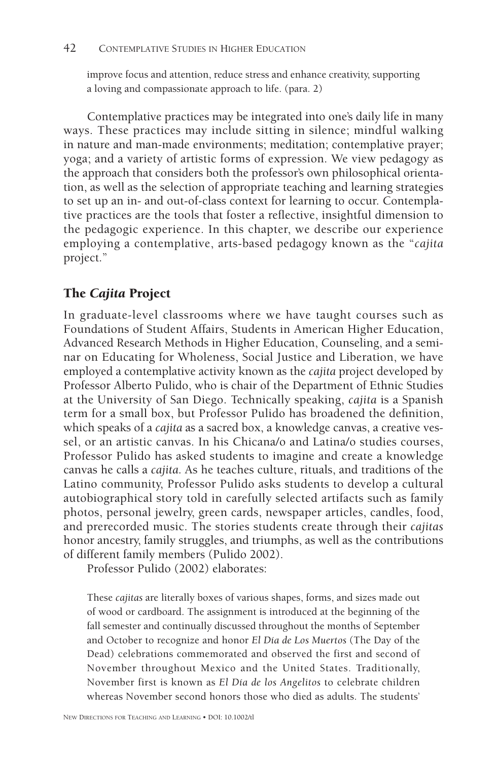improve focus and attention, reduce stress and enhance creativity, supporting a loving and compassionate approach to life. (para. 2)

Contemplative practices may be integrated into one's daily life in many ways. These practices may include sitting in silence; mindful walking in nature and man-made environments; meditation; contemplative prayer; yoga; and a variety of artistic forms of expression. We view pedagogy as the approach that considers both the professor's own philosophical orientation, as well as the selection of appropriate teaching and learning strategies to set up an in- and out-of-class context for learning to occur. Contemplative practices are the tools that foster a reflective, insightful dimension to the pedagogic experience. In this chapter, we describe our experience employing a contemplative, arts-based pedagogy known as the "*cajita*  project."

## **The** *Cajita* **Project**

In graduate-level classrooms where we have taught courses such as Foundations of Student Affairs, Students in American Higher Education, Advanced Research Methods in Higher Education, Counseling, and a seminar on Educating for Wholeness, Social Justice and Liberation, we have employed a contemplative activity known as the *cajita* project developed by Professor Alberto Pulido, who is chair of the Department of Ethnic Studies at the University of San Diego. Technically speaking, *cajita* is a Spanish term for a small box, but Professor Pulido has broadened the definition, which speaks of a *cajita* as a sacred box, a knowledge canvas, a creative vessel, or an artistic canvas. In his Chicana/o and Latina/o studies courses, Professor Pulido has asked students to imagine and create a knowledge canvas he calls a *cajita*. As he teaches culture, rituals, and traditions of the Latino community, Professor Pulido asks students to develop a cultural autobiographical story told in carefully selected artifacts such as family photos, personal jewelry, green cards, newspaper articles, candles, food, and prerecorded music. The stories students create through their *cajitas* honor ancestry, family struggles, and triumphs, as well as the contributions of different family members (Pulido 2002).

Professor Pulido (2002) elaborates:

These *cajitas* are literally boxes of various shapes, forms, and sizes made out of wood or cardboard. The assignment is introduced at the beginning of the fall semester and continually discussed throughout the months of September and October to recognize and honor *El Día de Los Muertos* (The Day of the Dead) celebrations commemorated and observed the first and second of November throughout Mexico and the United States. Traditionally, November first is known as *El Día de los Angelitos* to celebrate children whereas November second honors those who died as adults. The students'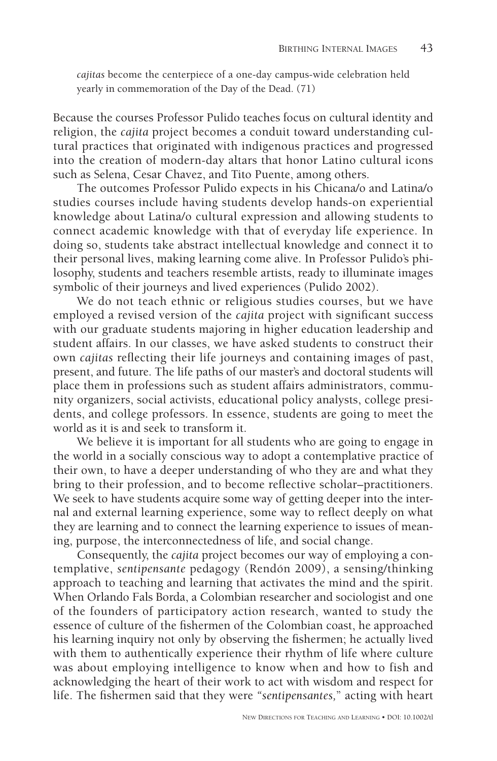*cajitas* become the centerpiece of a one-day campus-wide celebration held yearly in commemoration of the Day of the Dead. (71)

Because the courses Professor Pulido teaches focus on cultural identity and religion, the *cajita* project becomes a conduit toward understanding cultural practices that originated with indigenous practices and progressed into the creation of modern-day altars that honor Latino cultural icons such as Selena, Cesar Chavez, and Tito Puente, among others.

The outcomes Professor Pulido expects in his Chicana/o and Latina/o studies courses include having students develop hands-on experiential knowledge about Latina/o cultural expression and allowing students to connect academic knowledge with that of everyday life experience. In doing so, students take abstract intellectual knowledge and connect it to their personal lives, making learning come alive. In Professor Pulido's philosophy, students and teachers resemble artists, ready to illuminate images symbolic of their journeys and lived experiences (Pulido 2002).

We do not teach ethnic or religious studies courses, but we have employed a revised version of the *cajita* project with significant success with our graduate students majoring in higher education leadership and student affairs. In our classes, we have asked students to construct their own *cajitas* reflecting their life journeys and containing images of past, present, and future. The life paths of our master's and doctoral students will place them in professions such as student affairs administrators, community organizers, social activists, educational policy analysts, college presidents, and college professors. In essence, students are going to meet the world as it is and seek to transform it.

We believe it is important for all students who are going to engage in the world in a socially conscious way to adopt a contemplative practice of their own, to have a deeper understanding of who they are and what they bring to their profession, and to become reflective scholar–practitioners. We seek to have students acquire some way of getting deeper into the internal and external learning experience, some way to reflect deeply on what they are learning and to connect the learning experience to issues of meaning, purpose, the interconnectedness of life, and social change.

Consequently, the *cajita* project becomes our way of employing a contemplative, *sentipensante* pedagogy (Rendón 2009), a sensing/thinking approach to teaching and learning that activates the mind and the spirit. When Orlando Fals Borda, a Colombian researcher and sociologist and one of the founders of participatory action research, wanted to study the essence of culture of the fishermen of the Colombian coast, he approached his learning inquiry not only by observing the fishermen; he actually lived with them to authentically experience their rhythm of life where culture was about employing intelligence to know when and how to fish and acknowledging the heart of their work to act with wisdom and respect for life. The fishermen said that they were "sentipensantes," acting with heart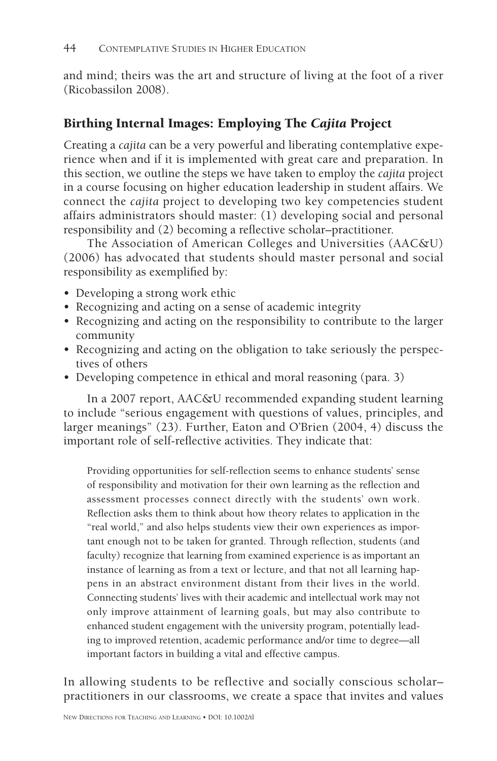and mind; theirs was the art and structure of living at the foot of a river (Ricobassilon 2008).

## **Birthing Internal Images: Employing The** *Cajita* **Project**

Creating a *cajita* can be a very powerful and liberating contemplative experience when and if it is implemented with great care and preparation. In this section, we outline the steps we have taken to employ the *cajita* project in a course focusing on higher education leadership in student affairs. We connect the *cajita* project to developing two key competencies student affairs administrators should master: (1) developing social and personal responsibility and (2) becoming a reflective scholar-practitioner.

The Association of American Colleges and Universities (AAC&U) (2006) has advocated that students should master personal and social responsibility as exemplified by:

- Developing a strong work ethic
- Recognizing and acting on a sense of academic integrity
- Recognizing and acting on the responsibility to contribute to the larger community
- Recognizing and acting on the obligation to take seriously the perspectives of others
- Developing competence in ethical and moral reasoning (para. 3)

In a 2007 report, AAC&U recommended expanding student learning to include "serious engagement with questions of values, principles, and larger meanings" (23). Further, Eaton and O'Brien (2004, 4) discuss the important role of self-reflective activities. They indicate that:

Providing opportunities for self-reflection seems to enhance students' sense of responsibility and motivation for their own learning as the reflection and assessment processes connect directly with the students' own work. Reflection asks them to think about how theory relates to application in the "real world," and also helps students view their own experiences as important enough not to be taken for granted. Through reflection, students (and faculty) recognize that learning from examined experience is as important an instance of learning as from a text or lecture, and that not all learning happens in an abstract environment distant from their lives in the world. Connecting students' lives with their academic and intellectual work may not only improve attainment of learning goals, but may also contribute to enhanced student engagement with the university program, potentially leading to improved retention, academic performance and/or time to degree—all important factors in building a vital and effective campus.

In allowing students to be reflective and socially conscious scholar– practitioners in our classrooms, we create a space that invites and values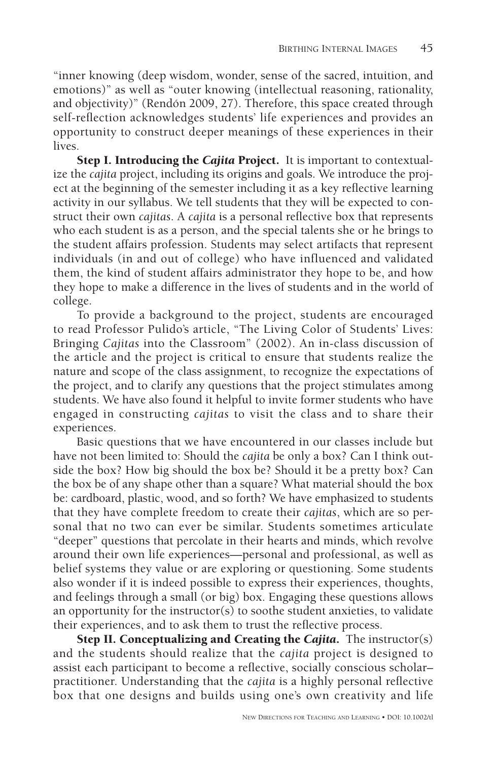"inner knowing (deep wisdom, wonder, sense of the sacred, intuition, and emotions)" as well as "outer knowing (intellectual reasoning, rationality, and objectivity)" (Rendón 2009, 27). Therefore, this space created through self-reflection acknowledges students' life experiences and provides an opportunity to construct deeper meanings of these experiences in their lives.

**Step I. Introducing the** *Cajita* **Project.** It is important to contextualize the *cajita* project, including its origins and goals. We introduce the project at the beginning of the semester including it as a key reflective learning activity in our syllabus. We tell students that they will be expected to construct their own *cajitas*. A *cajita* is a personal reflective box that represents who each student is as a person, and the special talents she or he brings to the student affairs profession. Students may select artifacts that represent individuals (in and out of college) who have influenced and validated them, the kind of student affairs administrator they hope to be, and how they hope to make a difference in the lives of students and in the world of college.

To provide a background to the project, students are encouraged to read Professor Pulido's article, "The Living Color of Students' Lives: Bringing *Cajitas* into the Classroom" (2002). An in-class discussion of the article and the project is critical to ensure that students realize the nature and scope of the class assignment, to recognize the expectations of the project, and to clarify any questions that the project stimulates among students. We have also found it helpful to invite former students who have engaged in constructing *cajitas* to visit the class and to share their experiences.

Basic questions that we have encountered in our classes include but have not been limited to: Should the *cajita* be only a box? Can I think outside the box? How big should the box be? Should it be a pretty box? Can the box be of any shape other than a square? What material should the box be: cardboard, plastic, wood, and so forth? We have emphasized to students that they have complete freedom to create their *cajitas*, which are so personal that no two can ever be similar. Students sometimes articulate "deeper" questions that percolate in their hearts and minds, which revolve around their own life experiences—personal and professional, as well as belief systems they value or are exploring or questioning. Some students also wonder if it is indeed possible to express their experiences, thoughts, and feelings through a small (or big) box. Engaging these questions allows an opportunity for the instructor(s) to soothe student anxieties, to validate their experiences, and to ask them to trust the reflective process.

**Step II. Conceptualizing and Creating the** *Cajita***.** The instructor(s) and the students should realize that the *cajita* project is designed to assist each participant to become a reflective, socially conscious scholarpractitioner. Understanding that the *cajita* is a highly personal reflective box that one designs and builds using one's own creativity and life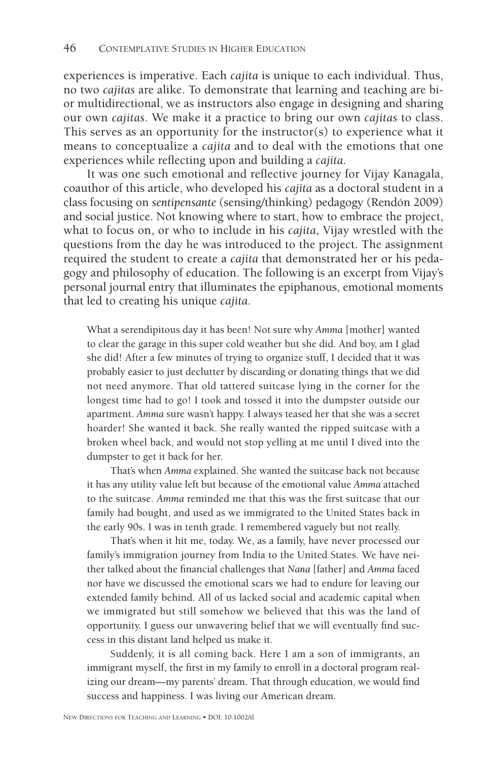experiences is imperative. Each *cajita* is unique to each individual. Thus, no two *cajitas* are alike. To demonstrate that learning and teaching are bior multidirectional, we as instructors also engage in designing and sharing our own *cajitas*. We make it a practice to bring our own *cajitas* to class. This serves as an opportunity for the instructor(s) to experience what it means to conceptualize a *cajita* and to deal with the emotions that one experiences while reflecting upon and building a *cajita*.

It was one such emotional and reflective journey for Vijay Kanagala, coauthor of this article, who developed his *cajita* as a doctoral student in a class focusing on *sentipensante* (sensing/thinking) pedagogy (Rendón 2009) and social justice. Not knowing where to start, how to embrace the project, what to focus on, or who to include in his *cajita*, Vijay wrestled with the questions from the day he was introduced to the project. The assignment required the student to create a *cajita* that demonstrated her or his pedagogy and philosophy of education. The following is an excerpt from Vijay's personal journal entry that illuminates the epiphanous, emotional moments that led to creating his unique *cajita*.

What a serendipitous day it has been! Not sure why *Amma* [mother] wanted to clear the garage in this super cold weather but she did. And boy, am I glad she did! After a few minutes of trying to organize stuff, I decided that it was probably easier to just declutter by discarding or donating things that we did not need anymore. That old tattered suitcase lying in the corner for the longest time had to go! I took and tossed it into the dumpster outside our apartment. *Amma* sure wasn't happy. I always teased her that she was a secret hoarder! She wanted it back. She really wanted the ripped suitcase with a broken wheel back, and would not stop yelling at me until I dived into the dumpster to get it back for her.

That's when *Amma* explained. She wanted the suitcase back not because it has any utility value left but because of the emotional value *Amma* attached to the suitcase. Amma reminded me that this was the first suitcase that our family had bought, and used as we immigrated to the United States back in the early 90s. I was in tenth grade. I remembered vaguely but not really.

That's when it hit me, today. We, as a family, have never processed our family's immigration journey from India to the United States. We have neither talked about the financial challenges that *Nana* [father] and *Amma* faced nor have we discussed the emotional scars we had to endure for leaving our extended family behind. All of us lacked social and academic capital when we immigrated but still somehow we believed that this was the land of opportunity. I guess our unwavering belief that we will eventually find success in this distant land helped us make it.

Suddenly, it is all coming back. Here I am a son of immigrants, an immigrant myself, the first in my family to enroll in a doctoral program realizing our dream-my parents' dream. That through education, we would find success and happiness. I was living our American dream.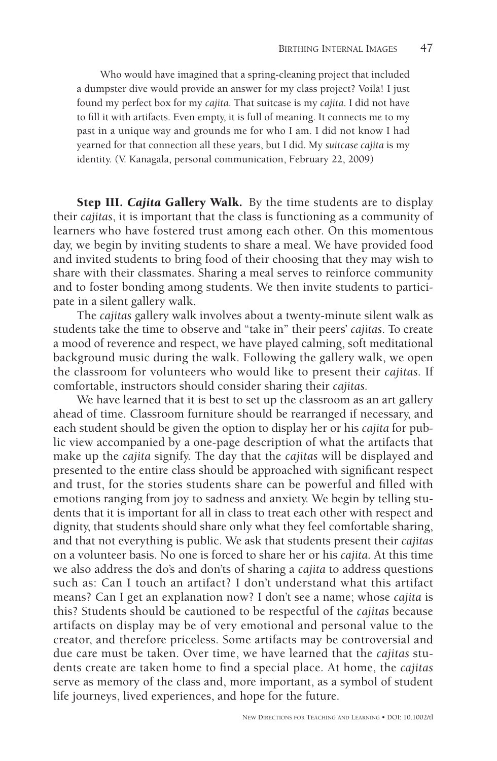Who would have imagined that a spring-cleaning project that included a dumpster dive would provide an answer for my class project? Voilà! I just found my perfect box for my *cajita*. That suitcase is my *cajita*. I did not have to fill it with artifacts. Even empty, it is full of meaning. It connects me to my past in a unique way and grounds me for who I am. I did not know I had yearned for that connection all these years, but I did. My *suitcase cajita* is my identity. (V. Kanagala, personal communication, February 22, 2009)

**Step III.** *Cajita* **Gallery Walk.** By the time students are to display their *cajitas*, it is important that the class is functioning as a community of learners who have fostered trust among each other. On this momentous day, we begin by inviting students to share a meal. We have provided food and invited students to bring food of their choosing that they may wish to share with their classmates. Sharing a meal serves to reinforce community and to foster bonding among students. We then invite students to participate in a silent gallery walk.

The *cajitas* gallery walk involves about a twenty-minute silent walk as students take the time to observe and "take in" their peers' *cajitas*. To create a mood of reverence and respect, we have played calming, soft meditational background music during the walk. Following the gallery walk, we open the classroom for volunteers who would like to present their *cajitas.* If comfortable, instructors should consider sharing their *cajitas.*

We have learned that it is best to set up the classroom as an art gallery ahead of time. Classroom furniture should be rearranged if necessary, and each student should be given the option to display her or his *cajita* for public view accompanied by a one-page description of what the artifacts that make up the *cajita* signify. The day that the *cajitas* will be displayed and presented to the entire class should be approached with significant respect and trust, for the stories students share can be powerful and filled with emotions ranging from joy to sadness and anxiety. We begin by telling students that it is important for all in class to treat each other with respect and dignity, that students should share only what they feel comfortable sharing, and that not everything is public. We ask that students present their *cajitas* on a volunteer basis. No one is forced to share her or his *cajita*. At this time we also address the do's and don'ts of sharing a *cajita* to address questions such as: Can I touch an artifact? I don't understand what this artifact means? Can I get an explanation now? I don't see a name; whose *cajita* is this? Students should be cautioned to be respectful of the *cajitas* because artifacts on display may be of very emotional and personal value to the creator, and therefore priceless. Some artifacts may be controversial and due care must be taken. Over time, we have learned that the *cajitas* students create are taken home to find a special place. At home, the *cajitas* serve as memory of the class and, more important, as a symbol of student life journeys, lived experiences, and hope for the future.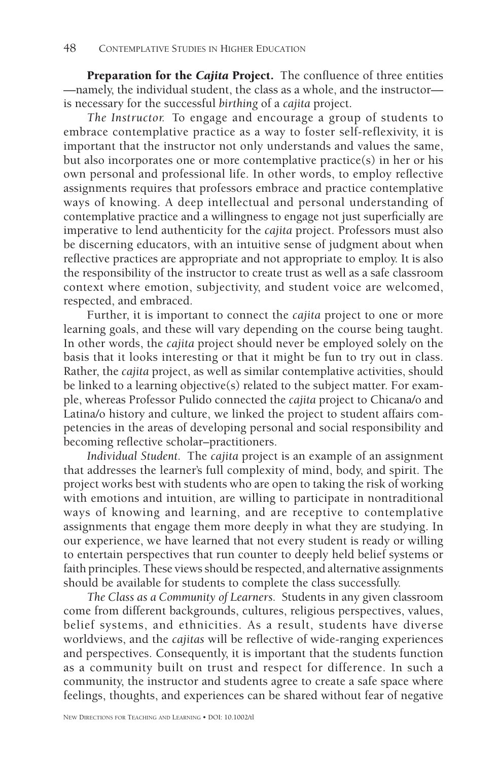**Preparation for the** *Cajita* **Project**. The confluence of three entities —namely, the individual student, the class as a whole, and the instructor is necessary for the successful *birthing* of a *cajita* project.

*The Instructor.* To engage and encourage a group of students to embrace contemplative practice as a way to foster self-reflexivity, it is important that the instructor not only understands and values the same, but also incorporates one or more contemplative practice(s) in her or his own personal and professional life. In other words, to employ reflective assignments requires that professors embrace and practice contemplative ways of knowing. A deep intellectual and personal understanding of contemplative practice and a willingness to engage not just superficially are imperative to lend authenticity for the *cajita* project. Professors must also be discerning educators, with an intuitive sense of judgment about when reflective practices are appropriate and not appropriate to employ. It is also the responsibility of the instructor to create trust as well as a safe classroom context where emotion, subjectivity, and student voice are welcomed, respected, and embraced.

Further, it is important to connect the *cajita* project to one or more learning goals, and these will vary depending on the course being taught. In other words, the *cajita* project should never be employed solely on the basis that it looks interesting or that it might be fun to try out in class. Rather, the *cajita* project, as well as similar contemplative activities, should be linked to a learning objective(s) related to the subject matter. For example, whereas Professor Pulido connected the *cajita* project to Chicana/o and Latina/o history and culture, we linked the project to student affairs competencies in the areas of developing personal and social responsibility and becoming reflective scholar-practitioners.

*Individual Student.* The *cajita* project is an example of an assignment that addresses the learner's full complexity of mind, body, and spirit. The project works best with students who are open to taking the risk of working with emotions and intuition, are willing to participate in nontraditional ways of knowing and learning, and are receptive to contemplative assignments that engage them more deeply in what they are studying. In our experience, we have learned that not every student is ready or willing to entertain perspectives that run counter to deeply held belief systems or faith principles. These views should be respected, and alternative assignments should be available for students to complete the class successfully.

*The Class as a Community of Learners.* Students in any given classroom come from different backgrounds, cultures, religious perspectives, values, belief systems, and ethnicities. As a result, students have diverse worldviews, and the *cajitas* will be reflective of wide-ranging experiences and perspectives. Consequently, it is important that the students function as a community built on trust and respect for difference. In such a community, the instructor and students agree to create a safe space where feelings, thoughts, and experiences can be shared without fear of negative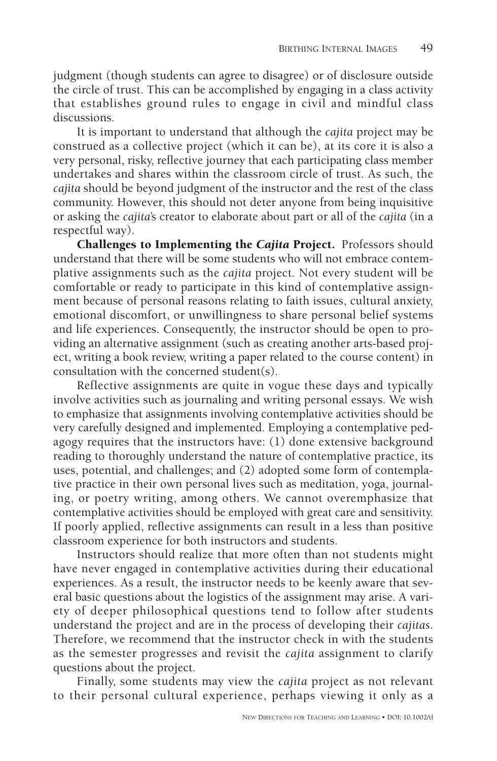judgment (though students can agree to disagree) or of disclosure outside the circle of trust. This can be accomplished by engaging in a class activity that establishes ground rules to engage in civil and mindful class discussions.

It is important to understand that although the *cajita* project may be construed as a collective project (which it can be), at its core it is also a very personal, risky, reflective journey that each participating class member undertakes and shares within the classroom circle of trust. As such, the *cajita* should be beyond judgment of the instructor and the rest of the class community. However, this should not deter anyone from being inquisitive or asking the *cajita*'s creator to elaborate about part or all of the *cajita* (in a respectful way).

**Challenges to Implementing the** *Cajita* **Project.** Professors should understand that there will be some students who will not embrace contemplative assignments such as the *cajita* project. Not every student will be comfortable or ready to participate in this kind of contemplative assignment because of personal reasons relating to faith issues, cultural anxiety, emotional discomfort, or unwillingness to share personal belief systems and life experiences. Consequently, the instructor should be open to providing an alternative assignment (such as creating another arts-based project, writing a book review, writing a paper related to the course content) in consultation with the concerned student(s).

Reflective assignments are quite in vogue these days and typically involve activities such as journaling and writing personal essays. We wish to emphasize that assignments involving contemplative activities should be very carefully designed and implemented. Employing a contemplative pedagogy requires that the instructors have: (1) done extensive background reading to thoroughly understand the nature of contemplative practice, its uses, potential, and challenges; and (2) adopted some form of contemplative practice in their own personal lives such as meditation, yoga, journaling, or poetry writing, among others. We cannot overemphasize that contemplative activities should be employed with great care and sensitivity. If poorly applied, reflective assignments can result in a less than positive classroom experience for both instructors and students.

Instructors should realize that more often than not students might have never engaged in contemplative activities during their educational experiences. As a result, the instructor needs to be keenly aware that several basic questions about the logistics of the assignment may arise. A variety of deeper philosophical questions tend to follow after students understand the project and are in the process of developing their *cajitas*. Therefore, we recommend that the instructor check in with the students as the semester progresses and revisit the *cajita* assignment to clarify questions about the project.

Finally, some students may view the *cajita* project as not relevant to their personal cultural experience, perhaps viewing it only as a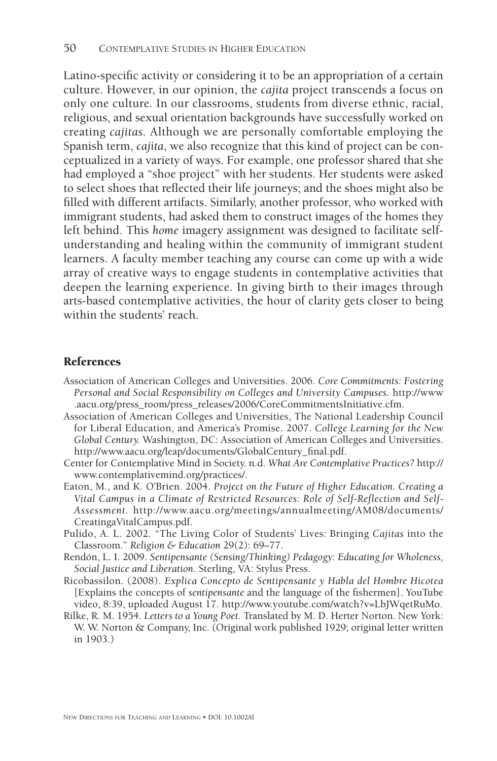Latino-specific activity or considering it to be an appropriation of a certain culture. However, in our opinion, the *cajita* project transcends a focus on only one culture. In our classrooms, students from diverse ethnic, racial, religious, and sexual orientation backgrounds have successfully worked on creating *cajitas*. Although we are personally comfortable employing the Spanish term, *cajita*, we also recognize that this kind of project can be conceptualized in a variety of ways. For example, one professor shared that she had employed a "shoe project" with her students. Her students were asked to select shoes that reflected their life journeys; and the shoes might also be filled with different artifacts. Similarly, another professor, who worked with immigrant students, had asked them to construct images of the homes they left behind. This *home* imagery assignment was designed to facilitate selfunderstanding and healing within the community of immigrant student learners. A faculty member teaching any course can come up with a wide array of creative ways to engage students in contemplative activities that deepen the learning experience. In giving birth to their images through arts-based contemplative activities, the hour of clarity gets closer to being within the students' reach.

## **References**

- Association of American Colleges and Universities. 2006. *Core Commitments: Fostering Personal and Social Responsibility on Colleges and University Campuses.* http://www .aacu.org/press\_room/press\_releases/2006/CoreCommitmentsInitiative.cfm.
- Association of American Colleges and Universities, The National Leadership Council for Liberal Education, and America's Promise. 2007. *College Learning for the New Global Century.* Washington, DC: Association of American Colleges and Universities. http://www.aacu.org/leap/documents/GlobalCentury\_final.pdf.
- Center for Contemplative Mind in Society. n.d. *What Are Contemplative Practices?* http:// www.contemplativemind.org/practices/.
- Eaton, M., and K. O'Brien. 2004. *Project on the Future of Higher Education. Creating a Vital Campus in a Climate of Restricted Resources: Role of Self-Reflection and Self-Assessment.* http://www.aacu.org/meetings/annualmeeting/AM08/documents/ CreatingaVitalCampus.pdf.
- Pulido, A. L. 2002. "The Living Color of Students' Lives: Bringing *Cajitas* into the Classroom." *Religion & Education* 29(2): 69–77.
- Rendón, L. I. 2009. *Sentipensante (Sensing/Thinking) Pedagogy: Educating for Wholeness, Social Justice and Liberation*. Sterling, VA: Stylus Press.
- Ricobassilon. (2008). *Explica Concepto de Sentipensante y Habla del Hombre Hicotea* [Explains the concepts of *sentipensante* and the language of the fishermen]. YouTube video, 8:39, uploaded August 17. http://www.youtube.com/watch?v=LbJWqetRuMo.
- Rilke, R. M. 1954. *Letters to a Young Poet*. Translated by M. D. Herter Norton. New York: W. W. Norton & Company, Inc. (Original work published 1929; original letter written in 1903.)